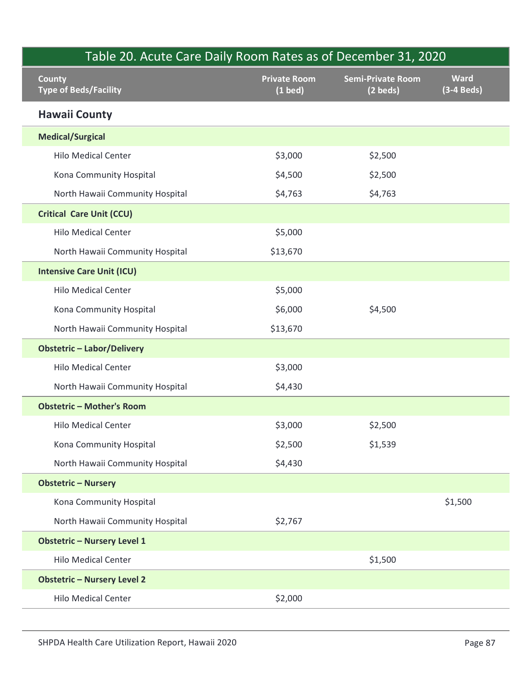| Table 20. Acute Care Daily Room Rates as of December 31, 2020<br><b>County</b> | <b>Private Room</b> | <b>Semi-Private Room</b> | <b>Ward</b>  |  |
|--------------------------------------------------------------------------------|---------------------|--------------------------|--------------|--|
| <b>Type of Beds/Facility</b>                                                   | $(1$ bed $)$        | $(2 \text{ beds})$       | $(3-4$ Beds) |  |
| <b>Hawaii County</b>                                                           |                     |                          |              |  |
| <b>Medical/Surgical</b>                                                        |                     |                          |              |  |
| <b>Hilo Medical Center</b>                                                     | \$3,000             | \$2,500                  |              |  |
| Kona Community Hospital                                                        | \$4,500             | \$2,500                  |              |  |
| North Hawaii Community Hospital                                                | \$4,763             | \$4,763                  |              |  |
| <b>Critical Care Unit (CCU)</b>                                                |                     |                          |              |  |
| <b>Hilo Medical Center</b>                                                     | \$5,000             |                          |              |  |
| North Hawaii Community Hospital                                                | \$13,670            |                          |              |  |
| <b>Intensive Care Unit (ICU)</b>                                               |                     |                          |              |  |
| <b>Hilo Medical Center</b>                                                     | \$5,000             |                          |              |  |
| Kona Community Hospital                                                        | \$6,000             | \$4,500                  |              |  |
| North Hawaii Community Hospital                                                | \$13,670            |                          |              |  |
| <b>Obstetric - Labor/Delivery</b>                                              |                     |                          |              |  |
| <b>Hilo Medical Center</b>                                                     | \$3,000             |                          |              |  |
| North Hawaii Community Hospital                                                | \$4,430             |                          |              |  |
| <b>Obstetric - Mother's Room</b>                                               |                     |                          |              |  |
| <b>Hilo Medical Center</b>                                                     | \$3,000             | \$2,500                  |              |  |
| Kona Community Hospital                                                        | \$2,500             | \$1,539                  |              |  |
| North Hawaii Community Hospital                                                | \$4,430             |                          |              |  |
| <b>Obstetric - Nursery</b>                                                     |                     |                          |              |  |
| Kona Community Hospital                                                        |                     |                          | \$1,500      |  |
| North Hawaii Community Hospital                                                | \$2,767             |                          |              |  |
| <b>Obstetric - Nursery Level 1</b>                                             |                     |                          |              |  |
| <b>Hilo Medical Center</b>                                                     |                     | \$1,500                  |              |  |
| <b>Obstetric - Nursery Level 2</b>                                             |                     |                          |              |  |
| <b>Hilo Medical Center</b>                                                     | \$2,000             |                          |              |  |
|                                                                                |                     |                          |              |  |
| SHPDA Health Care Utilization Report, Hawaii 2020                              |                     |                          | Page 87      |  |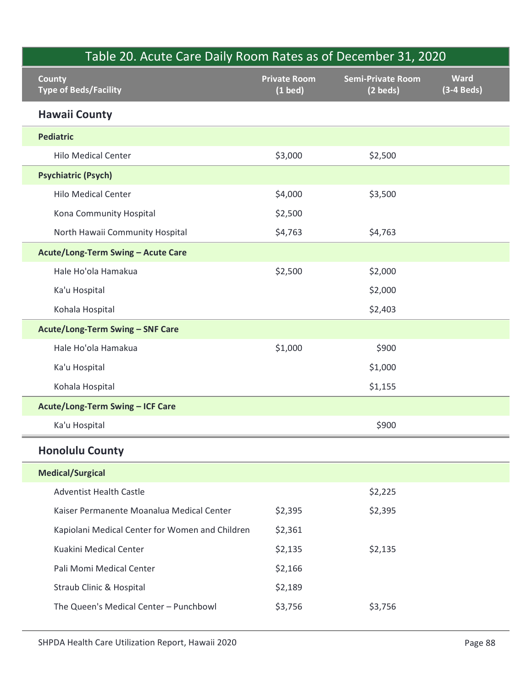| <b>County</b>                                   | <b>Private Room</b> | <b>Semi-Private Room</b> | <b>Ward</b>  |
|-------------------------------------------------|---------------------|--------------------------|--------------|
| <b>Type of Beds/Facility</b>                    | $(1$ bed)           | (2 beds)                 | $(3-4$ Beds) |
| <b>Hawaii County</b>                            |                     |                          |              |
| <b>Pediatric</b>                                |                     |                          |              |
| <b>Hilo Medical Center</b>                      | \$3,000             | \$2,500                  |              |
| <b>Psychiatric (Psych)</b>                      |                     |                          |              |
| <b>Hilo Medical Center</b>                      | \$4,000             | \$3,500                  |              |
| Kona Community Hospital                         | \$2,500             |                          |              |
| North Hawaii Community Hospital                 | \$4,763             | \$4,763                  |              |
| Acute/Long-Term Swing - Acute Care              |                     |                          |              |
| Hale Ho'ola Hamakua                             | \$2,500             | \$2,000                  |              |
| Ka'u Hospital                                   |                     | \$2,000                  |              |
| Kohala Hospital                                 |                     | \$2,403                  |              |
| <b>Acute/Long-Term Swing - SNF Care</b>         |                     |                          |              |
| Hale Ho'ola Hamakua                             | \$1,000             | \$900                    |              |
| Ka'u Hospital                                   |                     | \$1,000                  |              |
| Kohala Hospital                                 |                     | \$1,155                  |              |
| Acute/Long-Term Swing - ICF Care                |                     |                          |              |
| Ka'u Hospital                                   |                     | \$900                    |              |
| <b>Honolulu County</b>                          |                     |                          |              |
| <b>Medical/Surgical</b>                         |                     |                          |              |
| <b>Adventist Health Castle</b>                  |                     | \$2,225                  |              |
| Kaiser Permanente Moanalua Medical Center       | \$2,395             | \$2,395                  |              |
| Kapiolani Medical Center for Women and Children | \$2,361             |                          |              |
| Kuakini Medical Center                          | \$2,135             | \$2,135                  |              |
| Pali Momi Medical Center                        | \$2,166             |                          |              |
| Straub Clinic & Hospital                        | \$2,189             |                          |              |
| The Queen's Medical Center - Punchbowl          | \$3,756             | \$3,756                  |              |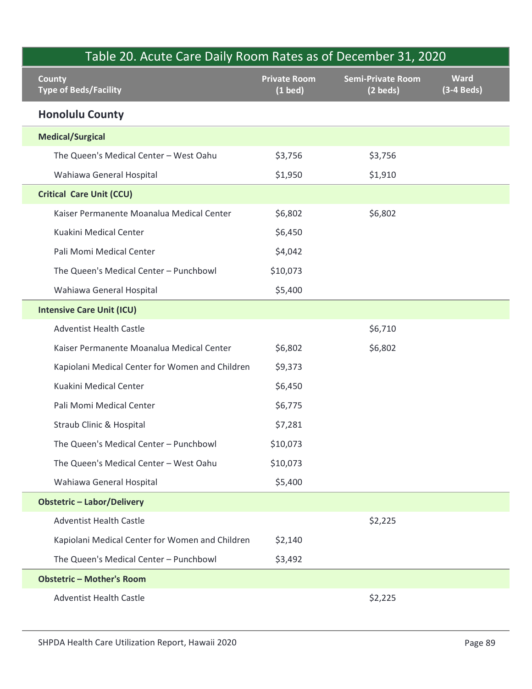| Table 20. Acute Care Daily Room Rates as of December 31, 2020 |                                  |                                      |                             |  |
|---------------------------------------------------------------|----------------------------------|--------------------------------------|-----------------------------|--|
| <b>County</b><br><b>Type of Beds/Facility</b>                 | <b>Private Room</b><br>$(1$ bed) | <b>Semi-Private Room</b><br>(2 beds) | <b>Ward</b><br>$(3-4$ Beds) |  |
| <b>Honolulu County</b>                                        |                                  |                                      |                             |  |
| <b>Medical/Surgical</b>                                       |                                  |                                      |                             |  |
| The Queen's Medical Center - West Oahu                        | \$3,756                          | \$3,756                              |                             |  |
| Wahiawa General Hospital                                      | \$1,950                          | \$1,910                              |                             |  |
| <b>Critical Care Unit (CCU)</b>                               |                                  |                                      |                             |  |
| Kaiser Permanente Moanalua Medical Center                     | \$6,802                          | \$6,802                              |                             |  |
| Kuakini Medical Center                                        | \$6,450                          |                                      |                             |  |
| Pali Momi Medical Center                                      | \$4,042                          |                                      |                             |  |
| The Queen's Medical Center - Punchbowl                        | \$10,073                         |                                      |                             |  |
| Wahiawa General Hospital                                      | \$5,400                          |                                      |                             |  |
| <b>Intensive Care Unit (ICU)</b>                              |                                  |                                      |                             |  |
| <b>Adventist Health Castle</b>                                |                                  | \$6,710                              |                             |  |
| Kaiser Permanente Moanalua Medical Center                     | \$6,802                          | \$6,802                              |                             |  |
| Kapiolani Medical Center for Women and Children               | \$9,373                          |                                      |                             |  |
| Kuakini Medical Center                                        | \$6,450                          |                                      |                             |  |
| Pali Momi Medical Center                                      | \$6,775                          |                                      |                             |  |
| Straub Clinic & Hospital                                      | \$7,281                          |                                      |                             |  |
| The Queen's Medical Center - Punchbowl                        | \$10,073                         |                                      |                             |  |
| The Queen's Medical Center - West Oahu                        | \$10,073                         |                                      |                             |  |
| Wahiawa General Hospital                                      | \$5,400                          |                                      |                             |  |
| <b>Obstetric - Labor/Delivery</b>                             |                                  |                                      |                             |  |
| <b>Adventist Health Castle</b>                                |                                  | \$2,225                              |                             |  |
| Kapiolani Medical Center for Women and Children               | \$2,140                          |                                      |                             |  |
| The Queen's Medical Center - Punchbowl                        | \$3,492                          |                                      |                             |  |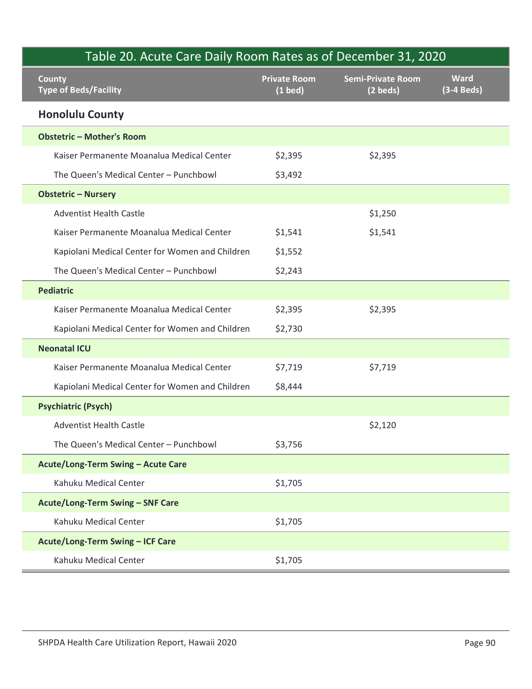| Table 20. Acute Care Daily Room Rates as of December 31, 2020<br><b>County</b> | <b>Private Room</b> | <b>Semi-Private Room</b> | <b>Ward</b>  |
|--------------------------------------------------------------------------------|---------------------|--------------------------|--------------|
| <b>Type of Beds/Facility</b>                                                   | $(1$ bed)           | $(2 \text{ beds})$       | $(3-4$ Beds) |
| <b>Honolulu County</b>                                                         |                     |                          |              |
| <b>Obstetric - Mother's Room</b>                                               |                     |                          |              |
| Kaiser Permanente Moanalua Medical Center                                      | \$2,395             | \$2,395                  |              |
| The Queen's Medical Center - Punchbowl                                         | \$3,492             |                          |              |
| <b>Obstetric - Nursery</b>                                                     |                     |                          |              |
| <b>Adventist Health Castle</b>                                                 |                     | \$1,250                  |              |
| Kaiser Permanente Moanalua Medical Center                                      | \$1,541             | \$1,541                  |              |
| Kapiolani Medical Center for Women and Children                                | \$1,552             |                          |              |
| The Queen's Medical Center - Punchbowl                                         | \$2,243             |                          |              |
| <b>Pediatric</b>                                                               |                     |                          |              |
| Kaiser Permanente Moanalua Medical Center                                      | \$2,395             | \$2,395                  |              |
| Kapiolani Medical Center for Women and Children                                | \$2,730             |                          |              |
| <b>Neonatal ICU</b>                                                            |                     |                          |              |
| Kaiser Permanente Moanalua Medical Center                                      | \$7,719             | \$7,719                  |              |
| Kapiolani Medical Center for Women and Children                                | \$8,444             |                          |              |
| <b>Psychiatric (Psych)</b>                                                     |                     |                          |              |
| <b>Adventist Health Castle</b>                                                 |                     | \$2,120                  |              |
| The Queen's Medical Center - Punchbowl                                         | \$3,756             |                          |              |
| Acute/Long-Term Swing - Acute Care                                             |                     |                          |              |
| Kahuku Medical Center                                                          | \$1,705             |                          |              |
| Acute/Long-Term Swing - SNF Care                                               |                     |                          |              |
| Kahuku Medical Center                                                          | \$1,705             |                          |              |
| Acute/Long-Term Swing - ICF Care                                               |                     |                          |              |
| Kahuku Medical Center                                                          | \$1,705             |                          |              |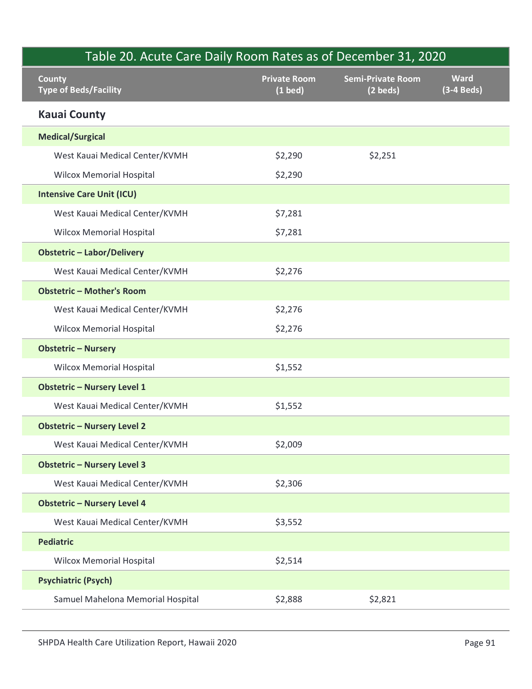|                                               |                                  | Table 20. Acute Care Daily Room Rates as of December 31, 2020 |                             |
|-----------------------------------------------|----------------------------------|---------------------------------------------------------------|-----------------------------|
| <b>County</b><br><b>Type of Beds/Facility</b> | <b>Private Room</b><br>$(1$ bed) | <b>Semi-Private Room</b><br>$(2 \text{ beds})$                | <b>Ward</b><br>$(3-4$ Beds) |
| <b>Kauai County</b>                           |                                  |                                                               |                             |
| <b>Medical/Surgical</b>                       |                                  |                                                               |                             |
| West Kauai Medical Center/KVMH                | \$2,290                          | \$2,251                                                       |                             |
| <b>Wilcox Memorial Hospital</b>               | \$2,290                          |                                                               |                             |
| <b>Intensive Care Unit (ICU)</b>              |                                  |                                                               |                             |
| West Kauai Medical Center/KVMH                | \$7,281                          |                                                               |                             |
| <b>Wilcox Memorial Hospital</b>               | \$7,281                          |                                                               |                             |
| <b>Obstetric - Labor/Delivery</b>             |                                  |                                                               |                             |
| West Kauai Medical Center/KVMH                | \$2,276                          |                                                               |                             |
| <b>Obstetric - Mother's Room</b>              |                                  |                                                               |                             |
| West Kauai Medical Center/KVMH                | \$2,276                          |                                                               |                             |
| <b>Wilcox Memorial Hospital</b>               | \$2,276                          |                                                               |                             |
| <b>Obstetric - Nursery</b>                    |                                  |                                                               |                             |
| <b>Wilcox Memorial Hospital</b>               | \$1,552                          |                                                               |                             |
| <b>Obstetric - Nursery Level 1</b>            |                                  |                                                               |                             |
| West Kauai Medical Center/KVMH                | \$1,552                          |                                                               |                             |
| <b>Obstetric - Nursery Level 2</b>            |                                  |                                                               |                             |
| West Kauai Medical Center/KVMH                | \$2,009                          |                                                               |                             |
| <b>Obstetric - Nursery Level 3</b>            |                                  |                                                               |                             |
| West Kauai Medical Center/KVMH                | \$2,306                          |                                                               |                             |
| <b>Obstetric - Nursery Level 4</b>            |                                  |                                                               |                             |
| West Kauai Medical Center/KVMH                | \$3,552                          |                                                               |                             |
| <b>Pediatric</b>                              |                                  |                                                               |                             |
| <b>Wilcox Memorial Hospital</b>               | \$2,514                          |                                                               |                             |
| <b>Psychiatric (Psych)</b>                    |                                  |                                                               |                             |
| Samuel Mahelona Memorial Hospital             | \$2,888                          | \$2,821                                                       |                             |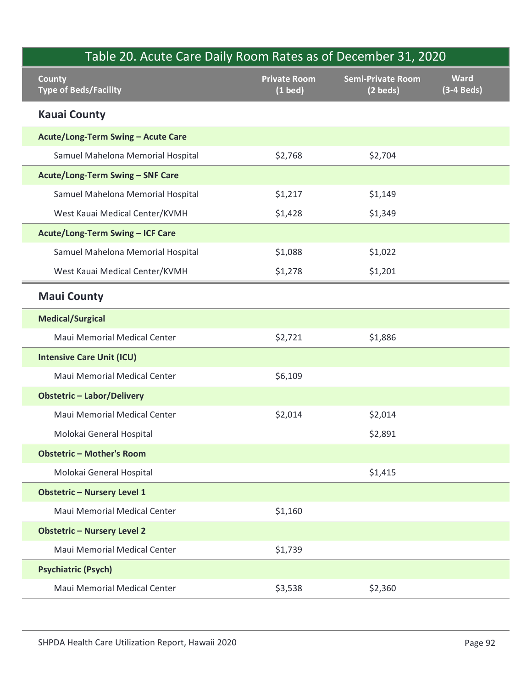| Table 20. Acute Care Daily Room Rates as of December 31, 2020 |                                  |                                      |                             |
|---------------------------------------------------------------|----------------------------------|--------------------------------------|-----------------------------|
| <b>County</b><br><b>Type of Beds/Facility</b>                 | <b>Private Room</b><br>$(1$ bed) | <b>Semi-Private Room</b><br>(2 beds) | <b>Ward</b><br>$(3-4$ Beds) |
| <b>Kauai County</b>                                           |                                  |                                      |                             |
| Acute/Long-Term Swing - Acute Care                            |                                  |                                      |                             |
| Samuel Mahelona Memorial Hospital                             | \$2,768                          | \$2,704                              |                             |
| Acute/Long-Term Swing - SNF Care                              |                                  |                                      |                             |
| Samuel Mahelona Memorial Hospital                             | \$1,217                          | \$1,149                              |                             |
| West Kauai Medical Center/KVMH                                | \$1,428                          | \$1,349                              |                             |
| Acute/Long-Term Swing - ICF Care                              |                                  |                                      |                             |
| Samuel Mahelona Memorial Hospital                             | \$1,088                          | \$1,022                              |                             |
| West Kauai Medical Center/KVMH                                | \$1,278                          | \$1,201                              |                             |
| <b>Maui County</b>                                            |                                  |                                      |                             |
| <b>Medical/Surgical</b>                                       |                                  |                                      |                             |
| Maui Memorial Medical Center                                  | \$2,721                          | \$1,886                              |                             |
| <b>Intensive Care Unit (ICU)</b>                              |                                  |                                      |                             |
| Maui Memorial Medical Center                                  | \$6,109                          |                                      |                             |
| <b>Obstetric - Labor/Delivery</b>                             |                                  |                                      |                             |
| Maui Memorial Medical Center                                  | \$2,014                          | \$2,014                              |                             |
| Molokai General Hospital                                      |                                  | \$2,891                              |                             |
| <b>Obstetric - Mother's Room</b>                              |                                  |                                      |                             |
| Molokai General Hospital                                      |                                  | \$1,415                              |                             |
| <b>Obstetric - Nursery Level 1</b>                            |                                  |                                      |                             |
| Maui Memorial Medical Center                                  | \$1,160                          |                                      |                             |
| <b>Obstetric - Nursery Level 2</b>                            |                                  |                                      |                             |
| Maui Memorial Medical Center                                  | \$1,739                          |                                      |                             |
| <b>Psychiatric (Psych)</b>                                    |                                  |                                      |                             |
| Maui Memorial Medical Center                                  | \$3,538                          | \$2,360                              |                             |